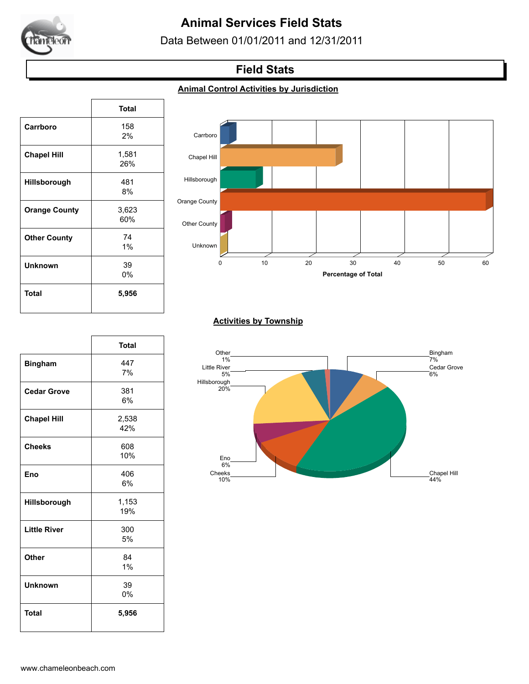

# **Animal Services Field Stats**

Data Between 01/01/2011 and 12/31/2011

## **Field Stats**

### **Animal Control Activities by Jurisdiction**

|                      | <b>Total</b> |
|----------------------|--------------|
| Carrboro             | 158          |
|                      | 2%           |
| <b>Chapel Hill</b>   | 1,581        |
|                      | 26%          |
| Hillsborough         | 481          |
|                      | 8%           |
| <b>Orange County</b> | 3,623        |
|                      | 60%          |
| <b>Other County</b>  | 74           |
|                      | 1%           |
| <b>Unknown</b>       | 39           |
|                      | 0%           |
| Total                | 5,956        |
|                      |              |

 $\sqrt{ }$ 

٦



#### **Activities by Township**



|                     | <b>Total</b> |
|---------------------|--------------|
| <b>Bingham</b>      | 447          |
|                     | 7%           |
| <b>Cedar Grove</b>  | 381          |
|                     | 6%           |
| <b>Chapel Hill</b>  | 2,538        |
|                     | 42%          |
| <b>Cheeks</b>       | 608          |
|                     | 10%          |
| Eno                 | 406          |
|                     | 6%           |
| Hillsborough        | 1,153        |
|                     | 19%          |
| <b>Little River</b> | 300          |
|                     | 5%           |
| Other               | 84           |
|                     | 1%           |
| <b>Unknown</b>      | 39           |
|                     | 0%           |
| <b>Total</b>        | 5,956        |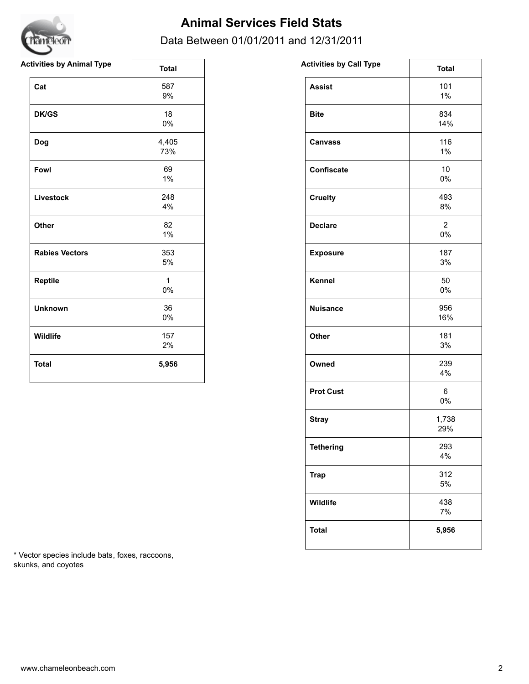

# **Animal Services Field Stats**

### Data Between 01/01/2011 and 12/31/2011

| <b>Activities by Animal Type</b> | <b>Total</b>          | <b>Activities by Call Type</b> | <b>Total</b>             |
|----------------------------------|-----------------------|--------------------------------|--------------------------|
| Cat                              | 587<br>$9\%$          | <b>Assist</b>                  | 101<br>$1\%$             |
| <b>DK/GS</b>                     | 18<br>$0\%$           | <b>Bite</b>                    | 834<br>14%               |
| Dog                              | 4,405<br>73%          | <b>Canvass</b>                 | 116<br>$1\%$             |
| Fowl                             | 69<br>1%              | Confiscate                     | 10 <sup>°</sup><br>$0\%$ |
| Livestock                        | 248<br>4%             | <b>Cruelty</b>                 | 493<br>8%                |
| Other                            | 82<br>$1\%$           | <b>Declare</b>                 | $\overline{2}$<br>$0\%$  |
| <b>Rabies Vectors</b>            | 353<br>$5\%$          | <b>Exposure</b>                | 187<br>3%                |
| Reptile                          | $\mathbf{1}$<br>$0\%$ | Kennel                         | 50<br>0%                 |
| <b>Unknown</b>                   | 36<br>$0\%$           | <b>Nuisance</b>                | 956<br>16%               |
| Wildlife                         | 157<br>2%             | Other                          | 181<br>3%                |
| <b>Total</b>                     | 5,956                 | Owned                          | 239<br>4%                |

| <b>Activities by Call Type</b> | <b>Total</b>         |
|--------------------------------|----------------------|
| <b>Assist</b>                  | 101<br>1%            |
| <b>Bite</b>                    | 834<br>14%           |
| <b>Canvass</b>                 | 116<br>1%            |
| <b>Confiscate</b>              | 10<br>0%             |
| <b>Cruelty</b>                 | 493<br>8%            |
| <b>Declare</b>                 | $\overline{2}$<br>0% |
| <b>Exposure</b>                | 187<br>3%            |
| <b>Kennel</b>                  | 50<br>0%             |
| <b>Nuisance</b>                | 956<br>16%           |
| Other                          | 181<br>3%            |
| Owned                          | 239<br>4%            |
| <b>Prot Cust</b>               | 6<br>0%              |
| <b>Stray</b>                   | 1,738<br>29%         |
| <b>Tethering</b>               | 293<br>4%            |
| <b>Trap</b>                    | 312<br>5%            |
| Wildlife                       | 438<br>7%            |
| <b>Total</b>                   | 5,956                |
|                                |                      |

\* Vector species include bats, foxes, raccoons, skunks, and coyotes